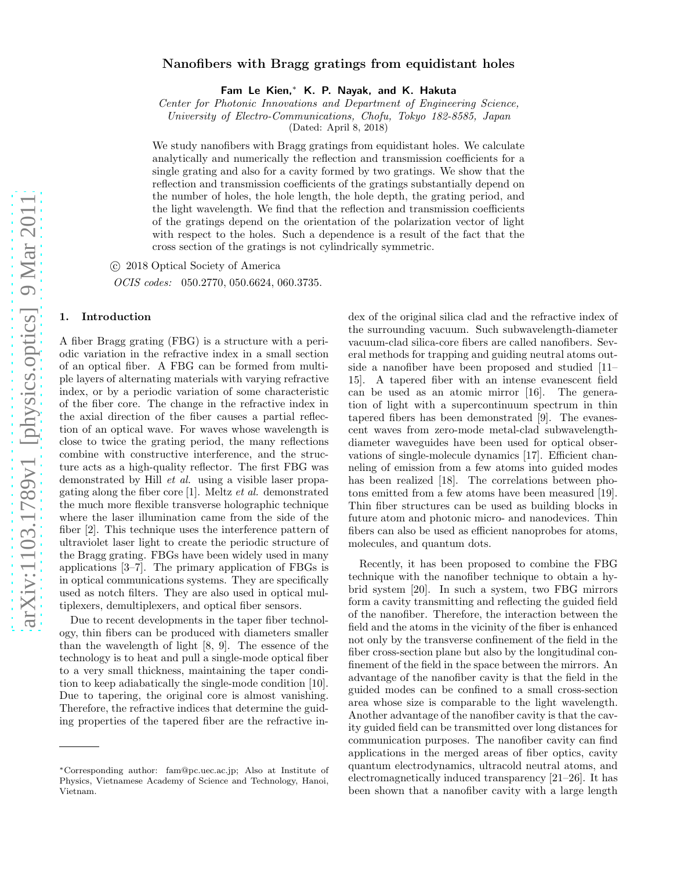## Nanofibers with Bragg gratings from equidistant holes

Fam Le Kien,<sup>∗</sup> K. P. Nayak, and K. Hakuta

*Center for Photonic Innovations and Department of Engineering Science,*

*University of Electro-Communications, Chofu, Tokyo 182-8585, Japan*

(Dated: April 8, 2018)

We study nanofibers with Bragg gratings from equidistant holes. We calculate analytically and numerically the reflection and transmission coefficients for a single grating and also for a cavity formed by two gratings. We show that the reflection and transmission coefficients of the gratings substantially depend on the number of holes, the hole length, the hole depth, the grating period, and the light wavelength. We find that the reflection and transmission coefficients of the gratings depend on the orientation of the polarization vector of light with respect to the holes. Such a dependence is a result of the fact that the cross section of the gratings is not cylindrically symmetric.

c 2018 Optical Society of America

*OCIS codes:* 050.2770, 050.6624, 060.3735.

## 1. Introduction

A fiber Bragg grating (FBG) is a structure with a periodic variation in the refractive index in a small section of an optical fiber. A FBG can be formed from multiple layers of alternating materials with varying refractive index, or by a periodic variation of some characteristic of the fiber core. The change in the refractive index in the axial direction of the fiber causes a partial reflection of an optical wave. For waves whose wavelength is close to twice the grating period, the many reflections combine with constructive interference, and the structure acts as a high-quality reflector. The first FBG was demonstrated by Hill *et al.* using a visible laser propagating along the fiber core [1]. Meltz *et al.* demonstrated the much more flexible transverse holographic technique where the laser illumination came from the side of the fiber [2]. This technique uses the interference pattern of ultraviolet laser light to create the periodic structure of the Bragg grating. FBGs have been widely used in many applications [3–7]. The primary application of FBGs is in optical communications systems. They are specifically used as notch filters. They are also used in optical multiplexers, demultiplexers, and optical fiber sensors.

Due to recent developments in the taper fiber technology, thin fibers can be produced with diameters smaller than the wavelength of light [8, 9]. The essence of the technology is to heat and pull a single-mode optical fiber to a very small thickness, maintaining the taper condition to keep adiabatically the single-mode condition [10]. Due to tapering, the original core is almost vanishing. Therefore, the refractive indices that determine the guiding properties of the tapered fiber are the refractive index of the original silica clad and the refractive index of the surrounding vacuum. Such subwavelength-diameter vacuum-clad silica-core fibers are called nanofibers. Several methods for trapping and guiding neutral atoms outside a nanofiber have been proposed and studied [11– 15]. A tapered fiber with an intense evanescent field can be used as an atomic mirror [16]. The generation of light with a supercontinuum spectrum in thin tapered fibers has been demonstrated [9]. The evanescent waves from zero-mode metal-clad subwavelengthdiameter waveguides have been used for optical observations of single-molecule dynamics [17]. Efficient channeling of emission from a few atoms into guided modes has been realized [18]. The correlations between photons emitted from a few atoms have been measured [19]. Thin fiber structures can be used as building blocks in future atom and photonic micro- and nanodevices. Thin fibers can also be used as efficient nanoprobes for atoms, molecules, and quantum dots.

Recently, it has been proposed to combine the FBG technique with the nanofiber technique to obtain a hybrid system [20]. In such a system, two FBG mirrors form a cavity transmitting and reflecting the guided field of the nanofiber. Therefore, the interaction between the field and the atoms in the vicinity of the fiber is enhanced not only by the transverse confinement of the field in the fiber cross-section plane but also by the longitudinal confinement of the field in the space between the mirrors. An advantage of the nanofiber cavity is that the field in the guided modes can be confined to a small cross-section area whose size is comparable to the light wavelength. Another advantage of the nanofiber cavity is that the cavity guided field can be transmitted over long distances for communication purposes. The nanofiber cavity can find applications in the merged areas of fiber optics, cavity quantum electrodynamics, ultracold neutral atoms, and electromagnetically induced transparency [21–26]. It has been shown that a nanofiber cavity with a large length

<sup>∗</sup>Corresponding author: fam@pc.uec.ac.jp; Also at Institute of Physics, Vietnamese Academy of Science and Technology, Hanoi, Vietnam.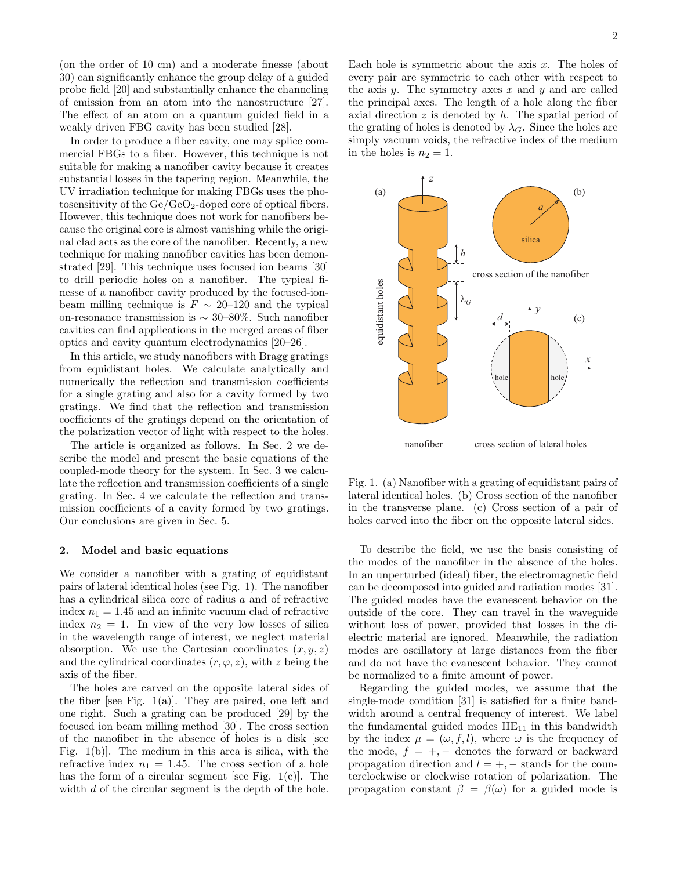(on the order of 10 cm) and a moderate finesse (about 30) can significantly enhance the group delay of a guided probe field [20] and substantially enhance the channeling of emission from an atom into the nanostructure [27]. The effect of an atom on a quantum guided field in a weakly driven FBG cavity has been studied [28].

In order to produce a fiber cavity, one may splice commercial FBGs to a fiber. However, this technique is not suitable for making a nanofiber cavity because it creates substantial losses in the tapering region. Meanwhile, the UV irradiation technique for making FBGs uses the photosensitivity of the  $Ge/CeO_2$ -doped core of optical fibers. However, this technique does not work for nanofibers because the original core is almost vanishing while the original clad acts as the core of the nanofiber. Recently, a new technique for making nanofiber cavities has been demonstrated [29]. This technique uses focused ion beams [30] to drill periodic holes on a nanofiber. The typical finesse of a nanofiber cavity produced by the focused-ionbeam milling technique is  $F \sim 20-120$  and the typical on-resonance transmission is ∼ 30–80%. Such nanofiber cavities can find applications in the merged areas of fiber optics and cavity quantum electrodynamics [20–26].

In this article, we study nanofibers with Bragg gratings from equidistant holes. We calculate analytically and numerically the reflection and transmission coefficients for a single grating and also for a cavity formed by two gratings. We find that the reflection and transmission coefficients of the gratings depend on the orientation of the polarization vector of light with respect to the holes.

The article is organized as follows. In Sec. 2 we describe the model and present the basic equations of the coupled-mode theory for the system. In Sec. 3 we calculate the reflection and transmission coefficients of a single grating. In Sec. 4 we calculate the reflection and transmission coefficients of a cavity formed by two gratings. Our conclusions are given in Sec. 5.

### 2. Model and basic equations

We consider a nanofiber with a grating of equidistant pairs of lateral identical holes (see Fig. 1). The nanofiber has a cylindrical silica core of radius a and of refractive index  $n_1 = 1.45$  and an infinite vacuum clad of refractive index  $n_2 = 1$ . In view of the very low losses of silica in the wavelength range of interest, we neglect material absorption. We use the Cartesian coordinates  $(x, y, z)$ and the cylindrical coordinates  $(r, \varphi, z)$ , with z being the axis of the fiber.

The holes are carved on the opposite lateral sides of the fiber [see Fig.  $1(a)$ ]. They are paired, one left and one right. Such a grating can be produced [29] by the focused ion beam milling method [30]. The cross section of the nanofiber in the absence of holes is a disk [see Fig. 1(b)]. The medium in this area is silica, with the refractive index  $n_1 = 1.45$ . The cross section of a hole has the form of a circular segment [see Fig.  $1(c)$ ]. The width d of the circular segment is the depth of the hole.

Each hole is symmetric about the axis  $x$ . The holes of every pair are symmetric to each other with respect to the axis  $y$ . The symmetry axes  $x$  and  $y$  and are called the principal axes. The length of a hole along the fiber axial direction  $z$  is denoted by  $h$ . The spatial period of the grating of holes is denoted by  $\lambda_G$ . Since the holes are simply vacuum voids, the refractive index of the medium in the holes is  $n_2 = 1$ .



Fig. 1. (a) Nanofiber with a grating of equidistant pairs of lateral identical holes. (b) Cross section of the nanofiber in the transverse plane. (c) Cross section of a pair of holes carved into the fiber on the opposite lateral sides.

To describe the field, we use the basis consisting of the modes of the nanofiber in the absence of the holes. In an unperturbed (ideal) fiber, the electromagnetic field can be decomposed into guided and radiation modes [31]. The guided modes have the evanescent behavior on the outside of the core. They can travel in the waveguide without loss of power, provided that losses in the dielectric material are ignored. Meanwhile, the radiation modes are oscillatory at large distances from the fiber and do not have the evanescent behavior. They cannot be normalized to a finite amount of power.

Regarding the guided modes, we assume that the single-mode condition [31] is satisfied for a finite bandwidth around a central frequency of interest. We label the fundamental guided modes  $HE_{11}$  in this bandwidth by the index  $\mu = (\omega, f, l)$ , where  $\omega$  is the frequency of the mode,  $f = +,-$  denotes the forward or backward propagation direction and  $l = +, -$  stands for the counterclockwise or clockwise rotation of polarization. The propagation constant  $\beta = \beta(\omega)$  for a guided mode is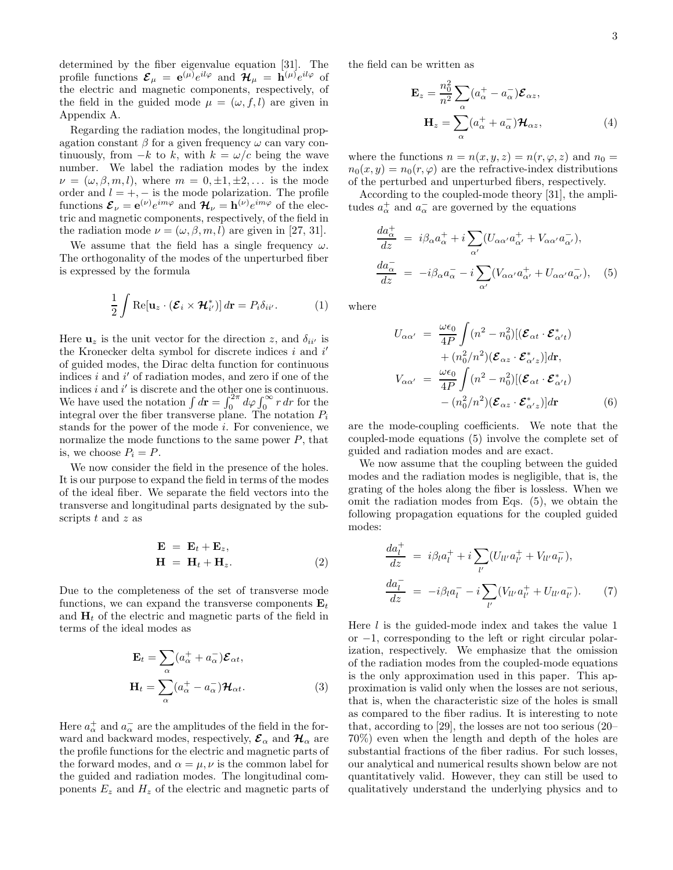determined by the fiber eigenvalue equation [31]. The profile functions  $\mathcal{E}_{\mu} = e^{(\mu)} e^{il\varphi}$  and  $\mathcal{H}_{\mu} = \dot{\mathbf{h}}^{(\mu)} e^{il\varphi}$  of the electric and magnetic components, respectively, of the field in the guided mode  $\mu = (\omega, f, l)$  are given in Appendix A.

Regarding the radiation modes, the longitudinal propagation constant  $\beta$  for a given frequency  $\omega$  can vary continuously, from  $-k$  to k, with  $k = \omega/c$  being the wave number. We label the radiation modes by the index  $\nu = (\omega, \beta, m, l)$ , where  $m = 0, \pm 1, \pm 2, \dots$  is the mode order and  $l = +, -$  is the mode polarization. The profile functions  $\mathcal{E}_{\nu} = e^{(\nu)} e^{im\varphi}$  and  $\mathcal{H}_{\nu} = h^{(\nu)} e^{im\varphi}$  of the electric and magnetic components, respectively, of the field in the radiation mode  $\nu = (\omega, \beta, m, l)$  are given in [27, 31].

We assume that the field has a single frequency  $\omega$ . The orthogonality of the modes of the unperturbed fiber is expressed by the formula

$$
\frac{1}{2} \int \text{Re}[\mathbf{u}_z \cdot (\mathcal{E}_i \times \mathcal{H}_{i'}^*)] d\mathbf{r} = P_i \delta_{ii'}.
$$
 (1)

Here  $\mathbf{u}_z$  is the unit vector for the direction z, and  $\delta_{ii'}$  is the Kronecker delta symbol for discrete indices  $i$  and  $i'$ of guided modes, the Dirac delta function for continuous indices  $i$  and  $i'$  of radiation modes, and zero if one of the indices  $i$  and  $i'$  is discrete and the other one is continuous. We have used the notation  $\int d\mathbf{r} = \int_0^{2\pi} d\varphi \int_0^{\infty} r dr$  for the integral over the fiber transverse plane. The notation  $P_i$ stands for the power of the mode i. For convenience, we normalize the mode functions to the same power  $P$ , that is, we choose  $P_i = P$ .

We now consider the field in the presence of the holes. It is our purpose to expand the field in terms of the modes of the ideal fiber. We separate the field vectors into the transverse and longitudinal parts designated by the subscripts t and z as

$$
\mathbf{E} = \mathbf{E}_t + \mathbf{E}_z, \n\mathbf{H} = \mathbf{H}_t + \mathbf{H}_z.
$$
\n(2)

Due to the completeness of the set of transverse mode functions, we can expand the transverse components  $\mathbf{E}_t$ and  $H_t$  of the electric and magnetic parts of the field in terms of the ideal modes as

$$
\mathbf{E}_{t} = \sum_{\alpha} (a_{\alpha}^{+} + a_{\alpha}^{-}) \mathbf{E}_{\alpha t},
$$

$$
\mathbf{H}_{t} = \sum_{\alpha} (a_{\alpha}^{+} - a_{\alpha}^{-}) \mathbf{H}_{\alpha t}.
$$
(3)

Here  $a^+_{\alpha}$  and  $a^-_{\alpha}$  are the amplitudes of the field in the forward and backward modes, respectively,  $\mathcal{E}_{\alpha}$  and  $\mathcal{H}_{\alpha}$  are the profile functions for the electric and magnetic parts of the forward modes, and  $\alpha = \mu, \nu$  is the common label for the guided and radiation modes. The longitudinal components  $E_z$  and  $H_z$  of the electric and magnetic parts of the field can be written as

$$
\mathbf{E}_{z} = \frac{n_0^2}{n^2} \sum_{\alpha} (a_{\alpha}^+ - a_{\alpha}^-) \mathcal{E}_{\alpha z},
$$

$$
\mathbf{H}_{z} = \sum_{\alpha} (a_{\alpha}^+ + a_{\alpha}^-) \mathcal{H}_{\alpha z},
$$
(4)

where the functions  $n = n(x, y, z) = n(r, \varphi, z)$  and  $n_0 =$  $n_0(x, y) = n_0(r, \varphi)$  are the refractive-index distributions of the perturbed and unperturbed fibers, respectively.

According to the coupled-mode theory [31], the amplitudes  $a_{\alpha}^{+}$  and  $a_{\alpha}^{-}$  are governed by the equations

$$
\frac{da_{\alpha}^{+}}{dz} = i\beta_{\alpha}a_{\alpha}^{+} + i\sum_{\alpha'} (U_{\alpha\alpha'}a_{\alpha'}^{+} + V_{\alpha\alpha'}a_{\alpha'}^{-}),
$$

$$
\frac{da_{\alpha}^{-}}{dz} = -i\beta_{\alpha}a_{\alpha}^{-} - i\sum_{\alpha'} (V_{\alpha\alpha'}a_{\alpha'}^{+} + U_{\alpha\alpha'}a_{\alpha'}^{-}), \quad (5)
$$

where

$$
U_{\alpha\alpha'} = \frac{\omega\epsilon_0}{4P} \int (n^2 - n_0^2) [(\mathcal{E}_{\alpha t} \cdot \mathcal{E}_{\alpha' t}^*)
$$
  
+  $(n_0^2/n^2) (\mathcal{E}_{\alpha z} \cdot \mathcal{E}_{\alpha' z}^*)] d\mathbf{r},$   

$$
V_{\alpha\alpha'} = \frac{\omega\epsilon_0}{4P} \int (n^2 - n_0^2) [(\mathcal{E}_{\alpha t} \cdot \mathcal{E}_{\alpha' t}^*)
$$
  
-  $(n_0^2/n^2) (\mathcal{E}_{\alpha z} \cdot \mathcal{E}_{\alpha' z}^*)] d\mathbf{r}$  (6)

are the mode-coupling coefficients. We note that the coupled-mode equations (5) involve the complete set of guided and radiation modes and are exact.

We now assume that the coupling between the guided modes and the radiation modes is negligible, that is, the grating of the holes along the fiber is lossless. When we omit the radiation modes from Eqs. (5), we obtain the following propagation equations for the coupled guided modes:

$$
\frac{da_l^+}{dz} = i\beta_l a_l^+ + i \sum_{l'} (U_{ll'} a_{l'}^+ + V_{ll'} a_{l'}^-),
$$
  
\n
$$
\frac{da_l^-}{dz} = -i\beta_l a_l^- - i \sum_{l'} (V_{ll'} a_{l'}^+ + U_{ll'} a_{l'}^-).
$$
 (7)

Here l is the guided-mode index and takes the value 1 or −1, corresponding to the left or right circular polarization, respectively. We emphasize that the omission of the radiation modes from the coupled-mode equations is the only approximation used in this paper. This approximation is valid only when the losses are not serious, that is, when the characteristic size of the holes is small as compared to the fiber radius. It is interesting to note that, according to [29], the losses are not too serious (20– 70%) even when the length and depth of the holes are substantial fractions of the fiber radius. For such losses, our analytical and numerical results shown below are not quantitatively valid. However, they can still be used to qualitatively understand the underlying physics and to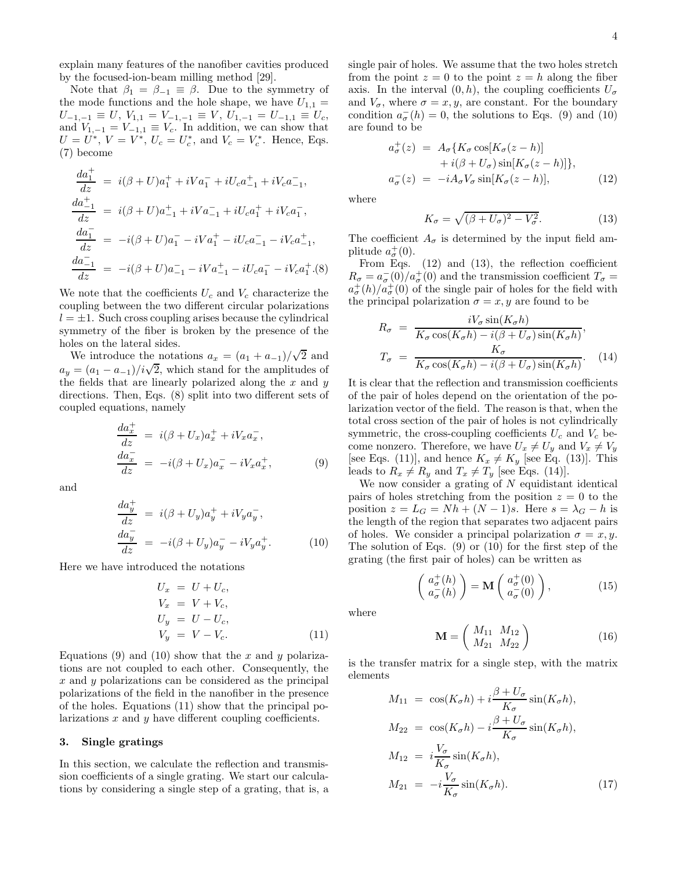explain many features of the nanofiber cavities produced by the focused-ion-beam milling method [29].

Note that  $\beta_1 = \beta_{-1} \equiv \beta$ . Due to the symmetry of the mode functions and the hole shape, we have  $U_{1,1} =$  $U_{-1,-1} \equiv U, V_{1,1} = V_{-1,-1} \equiv V, U_{1,-1} = U_{-1,1} \equiv U_c,$ and  $V_{1,-1} = V_{-1,1} \equiv V_c$ . In addition, we can show that  $U = U^*, V = V^*, U_c = U_c^*, \text{ and } V_c = V_c^*. \text{ Hence, Eqs.}$ (7) become

$$
\frac{da_1^+}{dz} = i(\beta + U)a_1^+ + iVa_1^- + iU_ca_{-1}^+ + iV_ca_{-1}^-,
$$
\n
$$
\frac{da_{-1}^+}{dz} = i(\beta + U)a_{-1}^+ + iVa_{-1}^- + iU_ca_1^+ + iVa_1^-,
$$
\n
$$
\frac{da_1^-}{dz} = -i(\beta + U)a_1^- - iVa_1^+ - iU_ca_{-1}^- - iVa_{-1}^+,
$$
\n
$$
\frac{da_{-1}^-}{dz} = -i(\beta + U)a_{-1}^- - iVa_{-1}^+ - iU_ca_1^- - iVa_1^+.(8)
$$

We note that the coefficients  $U_c$  and  $V_c$  characterize the coupling between the two different circular polarizations  $l = \pm 1$ . Such cross coupling arises because the cylindrical symmetry of the fiber is broken by the presence of the holes on the lateral sides.

We introduce the notations  $a_x = (a_1 + a_{-1})/\sqrt{2}$  and  $a_y = (a_1 - a_{-1})/i\sqrt{2}$ , which stand for the amplitudes of the fields that are linearly polarized along the  $x$  and  $y$ directions. Then, Eqs. (8) split into two different sets of coupled equations, namely

$$
\begin{aligned}\n\frac{da_x^+}{dz} &= i(\beta + U_x)a_x^+ + iV_x a_x^-, \\
\frac{da_x^-}{dz} &= -i(\beta + U_x)a_x^- - iV_x a_x^+, \n\end{aligned} \n\tag{9}
$$

and

$$
\frac{da_y^+}{dz} = i(\beta + U_y)a_y^+ + iV_ya_y^-,
$$
  
\n
$$
\frac{da_y^-}{dz} = -i(\beta + U_y)a_y^- - iV_ya_y^+.
$$
\n(10)

Here we have introduced the notations

$$
U_x = U + U_c,
$$
  
\n
$$
V_x = V + V_c,
$$
  
\n
$$
U_y = U - U_c,
$$
  
\n
$$
V_y = V - V_c.
$$
\n(11)

Equations (9) and (10) show that the x and y polarizations are not coupled to each other. Consequently, the  $x$  and  $y$  polarizations can be considered as the principal polarizations of the field in the nanofiber in the presence of the holes. Equations (11) show that the principal polarizations  $x$  and  $y$  have different coupling coefficients.

## 3. Single gratings

In this section, we calculate the reflection and transmission coefficients of a single grating. We start our calculations by considering a single step of a grating, that is, a single pair of holes. We assume that the two holes stretch from the point  $z = 0$  to the point  $z = h$  along the fiber axis. In the interval  $(0, h)$ , the coupling coefficients  $U_{\sigma}$ and  $V_{\sigma}$ , where  $\sigma = x, y$ , are constant. For the boundary condition  $a_{\sigma}^{-}(h) = 0$ , the solutions to Eqs. (9) and (10) are found to be

$$
a_{\sigma}^{+}(z) = A_{\sigma} \{ K_{\sigma} \cos[K_{\sigma}(z - h)] + i(\beta + U_{\sigma}) \sin[K_{\sigma}(z - h)] \},
$$
  

$$
a_{\sigma}^{-}(z) = -iA_{\sigma} V_{\sigma} \sin[K_{\sigma}(z - h)], \qquad (12)
$$

where

$$
K_{\sigma} = \sqrt{(\beta + U_{\sigma})^2 - V_{\sigma}^2}.
$$
 (13)

The coefficient  $A_{\sigma}$  is determined by the input field amplitude  $a_{\sigma}^{+}(0)$ .

From Eqs. (12) and (13), the reflection coefficient  $R_{\sigma} = a_{\sigma}(0)/a_{\sigma}^{+}(0)$  and the transmission coefficient  $T_{\sigma} =$  $a_{\sigma}^{+}(h)/a_{\sigma}^{+}(0)$  of the single pair of holes for the field with the principal polarization  $\sigma = x, y$  are found to be

$$
R_{\sigma} = \frac{iV_{\sigma}\sin(K_{\sigma}h)}{K_{\sigma}\cos(K_{\sigma}h) - i(\beta + U_{\sigma})\sin(K_{\sigma}h)},
$$
  
\n
$$
T_{\sigma} = \frac{K_{\sigma}}{K_{\sigma}\cos(K_{\sigma}h) - i(\beta + U_{\sigma})\sin(K_{\sigma}h)}.
$$
 (14)

It is clear that the reflection and transmission coefficients of the pair of holes depend on the orientation of the polarization vector of the field. The reason is that, when the total cross section of the pair of holes is not cylindrically symmetric, the cross-coupling coefficients  $U_c$  and  $V_c$  become nonzero. Therefore, we have  $U_x \neq U_y$  and  $V_x \neq V_y$ [see Eqs. (11)], and hence  $K_x \neq K_y$  [see Eq. (13)]. This leads to  $R_x \neq R_y$  and  $T_x \neq T_y$  [see Eqs. (14)].

We now consider a grating of  $N$  equidistant identical pairs of holes stretching from the position  $z = 0$  to the position  $z = L_G = Nh + (N-1)s$ . Here  $s = \lambda_G - h$  is the length of the region that separates two adjacent pairs of holes. We consider a principal polarization  $\sigma = x, y$ . The solution of Eqs. (9) or (10) for the first step of the grating (the first pair of holes) can be written as

$$
\begin{pmatrix} a_{\sigma}^{+}(h) \\ a_{\sigma}^{-}(h) \end{pmatrix} = \mathbf{M} \begin{pmatrix} a_{\sigma}^{+}(0) \\ a_{\sigma}^{-}(0) \end{pmatrix}, \qquad (15)
$$

where

$$
\mathbf{M} = \left(\begin{array}{cc} M_{11} & M_{12} \\ M_{21} & M_{22} \end{array}\right) \tag{16}
$$

is the transfer matrix for a single step, with the matrix elements

$$
M_{11} = \cos(K_{\sigma}h) + i\frac{\beta + U_{\sigma}}{K_{\sigma}}\sin(K_{\sigma}h),
$$
  
\n
$$
M_{22} = \cos(K_{\sigma}h) - i\frac{\beta + U_{\sigma}}{K_{\sigma}}\sin(K_{\sigma}h),
$$
  
\n
$$
M_{12} = i\frac{V_{\sigma}}{K_{\sigma}}\sin(K_{\sigma}h),
$$
  
\n
$$
M_{21} = -i\frac{V_{\sigma}}{K_{\sigma}}\sin(K_{\sigma}h).
$$
\n(17)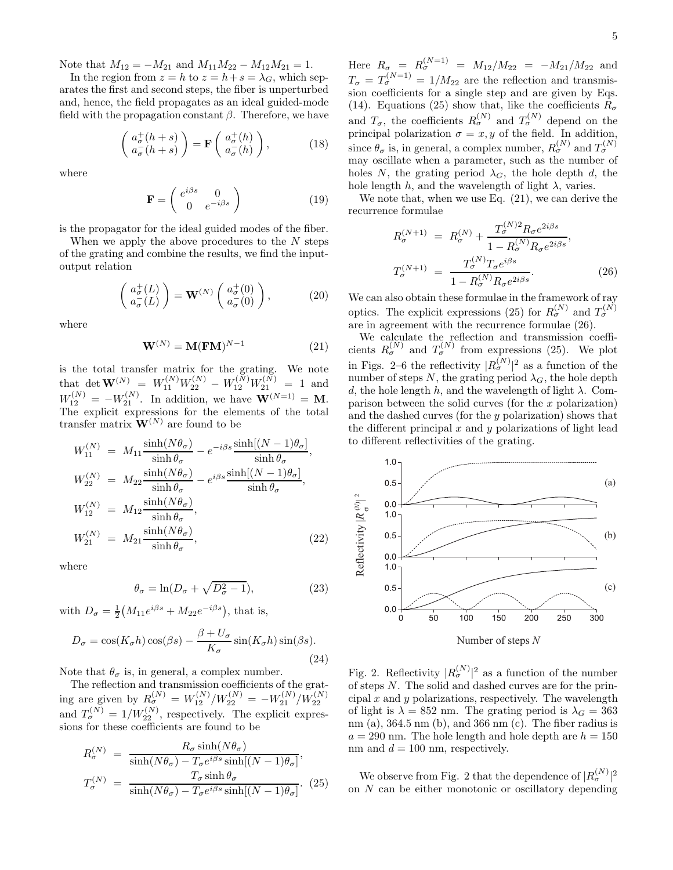Note that  $M_{12} = -M_{21}$  and  $M_{11}M_{22} - M_{12}M_{21} = 1$ .

In the region from  $z = h$  to  $z = h + s = \lambda_G$ , which separates the first and second steps, the fiber is unperturbed and, hence, the field propagates as an ideal guided-mode field with the propagation constant  $\beta$ . Therefore, we have

$$
\begin{pmatrix} a_{\sigma}^{+}(h+s) \\ a_{\sigma}^{-}(h+s) \end{pmatrix} = \mathbf{F} \begin{pmatrix} a_{\sigma}^{+}(h) \\ a_{\sigma}^{-}(h) \end{pmatrix}, \quad (18)
$$

where

$$
\mathbf{F} = \begin{pmatrix} e^{i\beta s} & 0\\ 0 & e^{-i\beta s} \end{pmatrix}
$$
 (19)

is the propagator for the ideal guided modes of the fiber.

When we apply the above procedures to the  $N$  steps of the grating and combine the results, we find the inputoutput relation

$$
\begin{pmatrix} a_{\sigma}^{+}(L) \\ a_{\sigma}^{-}(L) \end{pmatrix} = \mathbf{W}^{(N)} \begin{pmatrix} a_{\sigma}^{+}(0) \\ a_{\sigma}^{-}(0) \end{pmatrix}, \tag{20}
$$

where

$$
\mathbf{W}^{(N)} = \mathbf{M}(\mathbf{FM})^{N-1} \tag{21}
$$

is the total transfer matrix for the grating. We note that det  $\mathbf{W}^{(N)} = W_{11}^{(N)} W_{22}^{(N)} - W_{12}^{(N)} W_{21}^{(N)} = 1$  and  $W_{12}^{(N)} = -W_{21}^{(N)}$ . In addition, we have  $\mathbf{W}^{(N=1)} = \mathbf{M}$ . The explicit expressions for the elements of the total transfer matrix  $\mathbf{W}^{(N)}$  are found to be

$$
W_{11}^{(N)} = M_{11} \frac{\sinh(N\theta_{\sigma})}{\sinh \theta_{\sigma}} - e^{-i\beta s} \frac{\sinh[(N-1)\theta_{\sigma}]}{\sinh \theta_{\sigma}},
$$
  
\n
$$
W_{22}^{(N)} = M_{22} \frac{\sinh(N\theta_{\sigma})}{\sinh \theta_{\sigma}} - e^{i\beta s} \frac{\sinh[(N-1)\theta_{\sigma}]}{\sinh \theta_{\sigma}},
$$
  
\n
$$
W_{12}^{(N)} = M_{12} \frac{\sinh(N\theta_{\sigma})}{\sinh \theta_{\sigma}},
$$
  
\n
$$
W_{21}^{(N)} = M_{21} \frac{\sinh(N\theta_{\sigma})}{\sinh \theta_{\sigma}},
$$
  
\n(22)

where

$$
\theta_{\sigma} = \ln(D_{\sigma} + \sqrt{D_{\sigma}^2 - 1}),\tag{23}
$$

with  $D_{\sigma} = \frac{1}{2} (M_{11} e^{i\beta s} + M_{22} e^{-i\beta s})$ , that is,

$$
D_{\sigma} = \cos(K_{\sigma}h)\cos(\beta s) - \frac{\beta + U_{\sigma}}{K_{\sigma}}\sin(K_{\sigma}h)\sin(\beta s). \tag{24}
$$

Note that  $\theta_{\sigma}$  is, in general, a complex number.

The reflection and transmission coefficients of the grating are given by  $R_G^{(N)} = W_{12}^{(N)}/W_{22}^{(N)} = -W_{21}^{(N)}/W_{22}^{(N)}$ and  $T_{\sigma}^{(N)} = 1/W_{22}^{(N)}$ , respectively. The explicit expressions for these coefficients are found to be

$$
R_{\sigma}^{(N)} = \frac{R_{\sigma} \sinh(N\theta_{\sigma})}{\sinh(N\theta_{\sigma}) - T_{\sigma}e^{i\beta s} \sinh[(N-1)\theta_{\sigma}]},
$$
  

$$
T_{\sigma}^{(N)} = \frac{T_{\sigma} \sinh \theta_{\sigma}}{\sinh(N\theta_{\sigma}) - T_{\sigma}e^{i\beta s} \sinh[(N-1)\theta_{\sigma}]}.
$$
 (25)

Here  $R_{\sigma} = R_{\sigma}^{(N=1)} = M_{12}/M_{22} = -M_{21}/M_{22}$  and  $T_{\sigma} = T_{\sigma}^{(N=1)} = 1/M_{22}$  are the reflection and transmission coefficients for a single step and are given by Eqs. (14). Equations (25) show that, like the coefficients  $R_{\sigma}$ and  $T_{\sigma}$ , the coefficients  $R_{\sigma}^{(N)}$  and  $T_{\sigma}^{(N)}$  depend on the principal polarization  $\sigma = x, y$  of the field. In addition, since  $\theta_{\sigma}$  is, in general, a complex number,  $R_{\sigma}^{(N)}$  and  $T_{\sigma}^{(N)}$ may oscillate when a parameter, such as the number of holes N, the grating period  $\lambda_G$ , the hole depth d, the hole length h, and the wavelength of light  $\lambda$ , varies.

We note that, when we use Eq.  $(21)$ , we can derive the recurrence formulae

$$
R_{\sigma}^{(N+1)} = R_{\sigma}^{(N)} + \frac{T_{\sigma}^{(N)2} R_{\sigma} e^{2i\beta s}}{1 - R_{\sigma}^{(N)} R_{\sigma} e^{2i\beta s}},
$$
  

$$
T_{\sigma}^{(N+1)} = \frac{T_{\sigma}^{(N)} T_{\sigma} e^{i\beta s}}{1 - R_{\sigma}^{(N)} R_{\sigma} e^{2i\beta s}}.
$$
 (26)

We can also obtain these formulae in the framework of ray optics. The explicit expressions (25) for  $R_{\sigma}^{(N)}$  and  $T_{\sigma}^{(N)}$ are in agreement with the recurrence formulae (26).

We calculate the reflection and transmission coefficients  $R_{\sigma}^{(N)}$  and  $T_{\sigma}^{(N)}$  from expressions (25). We plot in Figs. 2–6 the reflectivity  $|R_{\sigma}^{(N)}|^{2}$  as a function of the number of steps N, the grating period  $\lambda_G$ , the hole depth d, the hole length h, and the wavelength of light  $\lambda$ . Comparison between the solid curves (for the  $x$  polarization) and the dashed curves (for the y polarization) shows that the different principal  $x$  and  $y$  polarizations of light lead to different reflectivities of the grating.



Fig. 2. Reflectivity  $|R_{\sigma}^{(N)}|^{2}$  as a function of the number of steps N. The solid and dashed curves are for the principal x and y polarizations, respectively. The wavelength of light is  $\lambda = 852$  nm. The grating period is  $\lambda_G = 363$ nm (a),  $364.5 \text{ nm}$  (b), and  $366 \text{ nm}$  (c). The fiber radius is  $a = 290$  nm. The hole length and hole depth are  $h = 150$ nm and  $d = 100$  nm, respectively.

We observe from Fig. 2 that the dependence of  $|R_{\sigma}^{(N)}|^{2}$ on N can be either monotonic or oscillatory depending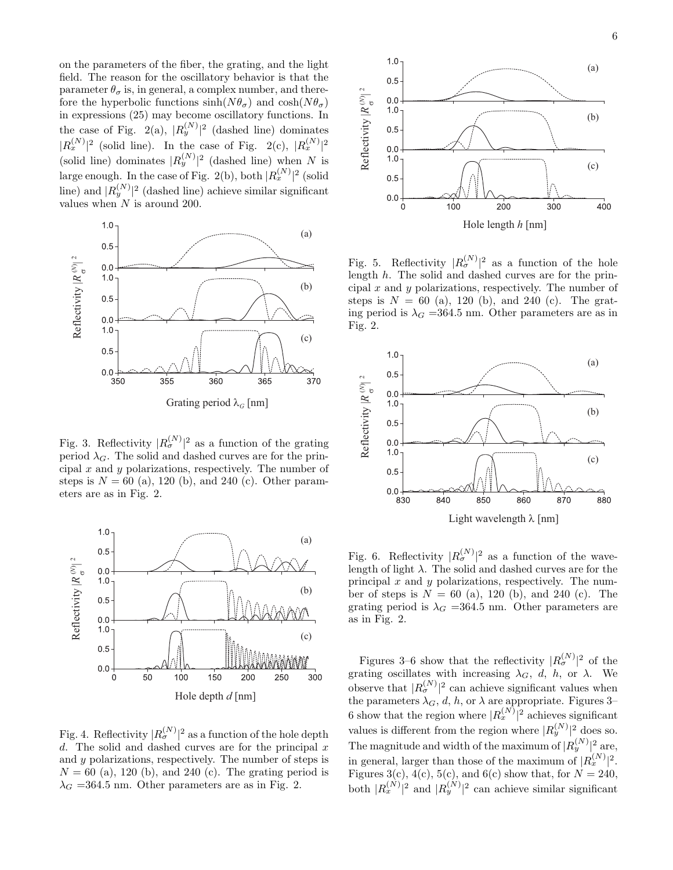on the parameters of the fiber, the grating, and the light field. The reason for the oscillatory behavior is that the parameter  $\theta_{\sigma}$  is, in general, a complex number, and therefore the hyperbolic functions  $sinh(N\theta_{\sigma})$  and  $cosh(N\theta_{\sigma})$ in expressions (25) may become oscillatory functions. In the case of Fig. 2(a),  $|R_y^{(N)}|^2$  (dashed line) dominates  $|R_x^{(N)}|^2$  (solid line). In the case of Fig. 2(c),  $|R_x^{(N)}|^2$ (solid line) dominates  $|R_y^{(N)}|^2$  (dashed line) when N is large enough. In the case of Fig. 2(b), both  $|R_x^{(N)}|^2$  (solid line) and  $|R_y^{(N)}|^2$  (dashed line) achieve similar significant values when N is around 200.



Fig. 3. Reflectivity  $|R_{\sigma}^{(N)}|^{2}$  as a function of the grating period  $\lambda_G$ . The solid and dashed curves are for the principal  $x$  and  $y$  polarizations, respectively. The number of steps is  $N = 60$  (a), 120 (b), and 240 (c). Other parameters are as in Fig. 2.



Fig. 4. Reflectivity  $|R_{\sigma}^{(N)}|^{2}$  as a function of the hole depth d. The solid and dashed curves are for the principal  $x$ and y polarizations, respectively. The number of steps is  $N = 60$  (a), 120 (b), and 240 (c). The grating period is  $\lambda_G = 364.5$  nm. Other parameters are as in Fig. 2.



Fig. 5. Reflectivity  $|R_{\sigma}^{(N)}|^{2}$  as a function of the hole length h. The solid and dashed curves are for the principal  $x$  and  $y$  polarizations, respectively. The number of steps is  $N = 60$  (a), 120 (b), and 240 (c). The grating period is  $\lambda_G = 364.5$  nm. Other parameters are as in Fig. 2.



Fig. 6. Reflectivity  $|R_{\sigma}^{(N)}|^{2}$  as a function of the wavelength of light  $\lambda$ . The solid and dashed curves are for the principal  $x$  and  $y$  polarizations, respectively. The number of steps is  $N = 60$  (a), 120 (b), and 240 (c). The grating period is  $\lambda_G = 364.5$  nm. Other parameters are as in Fig. 2.

Figures 3–6 show that the reflectivity  $|R_{\sigma}^{(N)}|^{2}$  of the grating oscillates with increasing  $\lambda_G$ , d, h, or  $\lambda$ . We observe that  $|R_{\sigma}^{(N)}|^{2}$  can achieve significant values when the parameters  $\lambda_G$ , d, h, or  $\lambda$  are appropriate. Figures 3– 6 show that the region where  $|R_x^{(N)}|^2$  achieves significant values is different from the region where  $|R_y^{(N)}|^2$  does so. The magnitude and width of the maximum of  $|R_y^{(N)}|$ <sup>2</sup> are, in general, larger than those of the maximum of  $|R_x^{(N)}|^2$ . Figures 3(c), 4(c), 5(c), and 6(c) show that, for  $N = 240$ , both  $|R_x^{(N)}|^2$  and  $|R_y^{(N)}|^2$  can achieve similar significant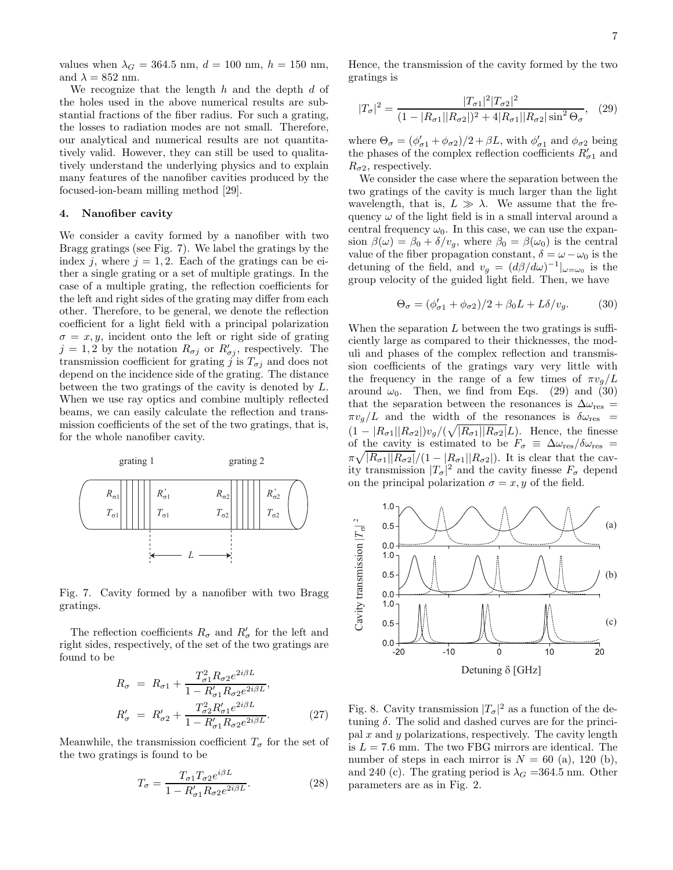values when  $\lambda_G = 364.5$  nm,  $d = 100$  nm,  $h = 150$  nm, and  $\lambda = 852$  nm.

We recognize that the length  $h$  and the depth  $d$  of the holes used in the above numerical results are substantial fractions of the fiber radius. For such a grating, the losses to radiation modes are not small. Therefore, our analytical and numerical results are not quantitatively valid. However, they can still be used to qualitatively understand the underlying physics and to explain many features of the nanofiber cavities produced by the focused-ion-beam milling method [29].

#### 4. Nanofiber cavity

We consider a cavity formed by a nanofiber with two Bragg gratings (see Fig. 7). We label the gratings by the index *i*, where  $i = 1, 2$ . Each of the gratings can be either a single grating or a set of multiple gratings. In the case of a multiple grating, the reflection coefficients for the left and right sides of the grating may differ from each other. Therefore, to be general, we denote the reflection coefficient for a light field with a principal polarization  $\sigma = x, y$ , incident onto the left or right side of grating  $j = 1, 2$  by the notation  $R_{\sigma j}$  or  $R'_{\sigma j}$ , respectively. The transmission coefficient for grating j is  $T_{\sigma i}$  and does not depend on the incidence side of the grating. The distance between the two gratings of the cavity is denoted by L. When we use ray optics and combine multiply reflected beams, we can easily calculate the reflection and transmission coefficients of the set of the two gratings, that is, for the whole nanofiber cavity.



Fig. 7. Cavity formed by a nanofiber with two Bragg gratings.

The reflection coefficients  $R_{\sigma}$  and  $R'_{\sigma}$  for the left and right sides, respectively, of the set of the two gratings are found to be

$$
R_{\sigma} = R_{\sigma 1} + \frac{T_{\sigma 1}^2 R_{\sigma 2} e^{2i\beta L}}{1 - R_{\sigma 1}' R_{\sigma 2} e^{2i\beta L}},
$$
  
\n
$$
R_{\sigma}' = R_{\sigma 2}' + \frac{T_{\sigma 2}^2 R_{\sigma 1}' e^{2i\beta L}}{1 - R_{\sigma 1}' R_{\sigma 2} e^{2i\beta L}}.
$$
\n(27)

Meanwhile, the transmission coefficient  $T_{\sigma}$  for the set of the two gratings is found to be

$$
T_{\sigma} = \frac{T_{\sigma 1} T_{\sigma 2} e^{i\beta L}}{1 - R_{\sigma 1}' R_{\sigma 2} e^{2i\beta L}}.
$$
\n(28)

Hence, the transmission of the cavity formed by the two gratings is

$$
|T_{\sigma}|^2 = \frac{|T_{\sigma1}|^2 |T_{\sigma2}|^2}{(1 - |R_{\sigma1}||R_{\sigma2}|)^2 + 4|R_{\sigma1}||R_{\sigma2}|\sin^2\Theta_{\sigma}},\quad(29)
$$

where  $\Theta_{\sigma} = (\phi'_{\sigma 1} + \phi_{\sigma 2})/2 + \beta L$ , with  $\phi'_{\sigma 1}$  and  $\phi_{\sigma 2}$  being the phases of the complex reflection coefficients  $R'_{\sigma_1}$  and  $R_{\sigma 2}$ , respectively.

We consider the case where the separation between the two gratings of the cavity is much larger than the light wavelength, that is,  $L \gg \lambda$ . We assume that the frequency  $\omega$  of the light field is in a small interval around a central frequency  $\omega_0$ . In this case, we can use the expansion  $\beta(\omega) = \beta_0 + \delta/v_q$ , where  $\beta_0 = \beta(\omega_0)$  is the central value of the fiber propagation constant,  $\delta = \omega - \omega_0$  is the detuning of the field, and  $v_g = (d\beta/d\omega)^{-1}|_{\omega=\omega_0}$  is the group velocity of the guided light field. Then, we have

$$
\Theta_{\sigma} = (\phi_{\sigma 1}^{\prime} + \phi_{\sigma 2})/2 + \beta_0 L + L\delta/v_g. \tag{30}
$$

When the separation  $L$  between the two gratings is sufficiently large as compared to their thicknesses, the moduli and phases of the complex reflection and transmission coefficients of the gratings vary very little with the frequency in the range of a few times of  $\pi v_q/L$ around  $\omega_0$ . Then, we find from Eqs. (29) and (30) that the separation between the resonances is  $\Delta \omega_{\text{res}} =$  $\pi v_g/L$  and the width of the resonances is  $\delta \omega_{\rm res}$  =  $(1-|R_{\sigma1}||R_{\sigma2}|)v_g/(\sqrt{|R_{\sigma1}||R_{\sigma2}|}L)$ . Hence, the finesse of the cavity is estimated to be  $F_{\sigma} \equiv \Delta \omega_{\text{res}} / \delta \omega_{\text{res}} =$  $\pi \sqrt{|R_{\sigma1}||R_{\sigma2}|}/(1-|R_{\sigma1}||R_{\sigma2}|)$ . It is clear that the cavity transmission  $|T_{\sigma}|^2$  and the cavity finesse  $F_{\sigma}$  depend on the principal polarization  $\sigma = x, y$  of the field.



Fig. 8. Cavity transmission  $|T_{\sigma}|^2$  as a function of the detuning  $\delta$ . The solid and dashed curves are for the principal  $x$  and  $y$  polarizations, respectively. The cavity length is  $L = 7.6$  mm. The two FBG mirrors are identical. The number of steps in each mirror is  $N = 60$  (a), 120 (b), and 240 (c). The grating period is  $\lambda_G = 364.5$  nm. Other parameters are as in Fig. 2.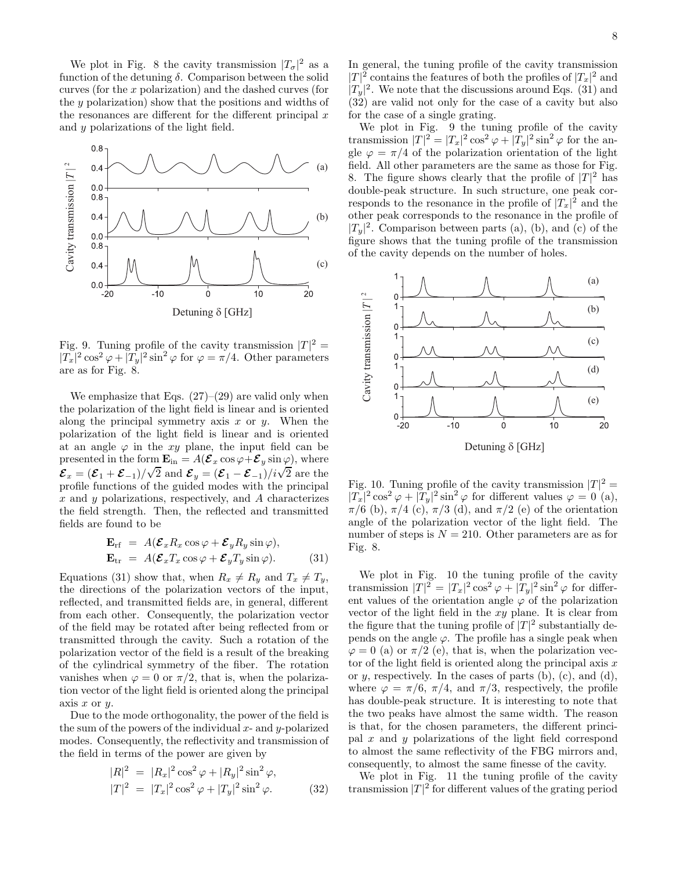We plot in Fig. 8 the cavity transmission  $|T_{\sigma}|^2$  as a function of the detuning  $\delta$ . Comparison between the solid curves (for the x polarization) and the dashed curves (for the y polarization) show that the positions and widths of the resonances are different for the different principal  $x$ and y polarizations of the light field.



Fig. 9. Tuning profile of the cavity transmission  $|T|^2 =$  $|T_x|^2 \cos^2 \varphi + |T_y|^2 \sin^2 \varphi$  for  $\varphi = \pi/4$ . Other parameters are as for Fig. 8.

We emphasize that Eqs.  $(27)-(29)$  are valid only when the polarization of the light field is linear and is oriented along the principal symmetry axis  $x$  or  $y$ . When the polarization of the light field is linear and is oriented at an angle  $\varphi$  in the xy plane, the input field can be presented in the form  $\mathbf{E}_{\text{in}} = A(\boldsymbol{\mathcal{E}}_x \cos \varphi + \boldsymbol{\mathcal{E}}_y \sin \varphi)$ , where  $\mathcal{E}_x = (\mathcal{E}_1 + \mathcal{E}_{-1})/\sqrt{2}$  and  $\mathcal{E}_y = (\mathcal{E}_1 - \mathcal{E}_{-1})/i\sqrt{2}$  are the profile functions of the guided modes with the principal x and  $\gamma$  polarizations, respectively, and A characterizes the field strength. Then, the reflected and transmitted fields are found to be

$$
\mathbf{E}_{\rm rf} = A(\mathcal{E}_x R_x \cos \varphi + \mathcal{E}_y R_y \sin \varphi), \n\mathbf{E}_{\rm tr} = A(\mathcal{E}_x T_x \cos \varphi + \mathcal{E}_y T_y \sin \varphi).
$$
\n(31)

Equations (31) show that, when  $R_x \neq R_y$  and  $T_x \neq T_y$ , the directions of the polarization vectors of the input, reflected, and transmitted fields are, in general, different from each other. Consequently, the polarization vector of the field may be rotated after being reflected from or transmitted through the cavity. Such a rotation of the polarization vector of the field is a result of the breaking of the cylindrical symmetry of the fiber. The rotation vanishes when  $\varphi = 0$  or  $\pi/2$ , that is, when the polarization vector of the light field is oriented along the principal axis  $x$  or  $y$ .

Due to the mode orthogonality, the power of the field is the sum of the powers of the individual  $x$ - and  $y$ -polarized modes. Consequently, the reflectivity and transmission of the field in terms of the power are given by

$$
|R|^2 = |R_x|^2 \cos^2 \varphi + |R_y|^2 \sin^2 \varphi,
$$
  

$$
|T|^2 = |T_x|^2 \cos^2 \varphi + |T_y|^2 \sin^2 \varphi.
$$
 (32)

In general, the tuning profile of the cavity transmission  $|T|^2$  contains the features of both the profiles of  $|T_x|^2$  and  $|T_y|^2$ . We note that the discussions around Eqs. (31) and (32) are valid not only for the case of a cavity but also for the case of a single grating.

We plot in Fig. 9 the tuning profile of the cavity transmission  $|T|^2 = |T_x|^2 \cos^2 \varphi + |T_y|^2 \sin^2 \varphi$  for the angle  $\varphi = \pi/4$  of the polarization orientation of the light field. All other parameters are the same as those for Fig. 8. The figure shows clearly that the profile of  $|T|^2$  has double-peak structure. In such structure, one peak corresponds to the resonance in the profile of  $|T_x|^2$  and the other peak corresponds to the resonance in the profile of  $|T_y|^2$ . Comparison between parts (a), (b), and (c) of the figure shows that the tuning profile of the transmission of the cavity depends on the number of holes.



Fig. 10. Tuning profile of the cavity transmission  $|T|^2 =$  $|T_x|^2 \cos^2 \varphi + |T_y|^2 \sin^2 \varphi$  for different values  $\varphi = 0$  (a),  $\pi/6$  (b),  $\pi/4$  (c),  $\pi/3$  (d), and  $\pi/2$  (e) of the orientation angle of the polarization vector of the light field. The number of steps is  $N = 210$ . Other parameters are as for Fig. 8.

We plot in Fig. 10 the tuning profile of the cavity transmission  $|T|^2 = |T_x|^2 \cos^2 \varphi + |T_y|^2 \sin^2 \varphi$  for different values of the orientation angle  $\varphi$  of the polarization vector of the light field in the  $xy$  plane. It is clear from the figure that the tuning profile of  $|T|^2$  substantially depends on the angle  $\varphi$ . The profile has a single peak when  $\varphi = 0$  (a) or  $\pi/2$  (e), that is, when the polarization vector of the light field is oriented along the principal axis  $x$ or  $y$ , respectively. In the cases of parts (b), (c), and (d), where  $\varphi = \pi/6$ ,  $\pi/4$ , and  $\pi/3$ , respectively, the profile has double-peak structure. It is interesting to note that the two peaks have almost the same width. The reason is that, for the chosen parameters, the different principal x and y polarizations of the light field correspond to almost the same reflectivity of the FBG mirrors and, consequently, to almost the same finesse of the cavity.

We plot in Fig. 11 the tuning profile of the cavity transmission  $|T|^2$  for different values of the grating period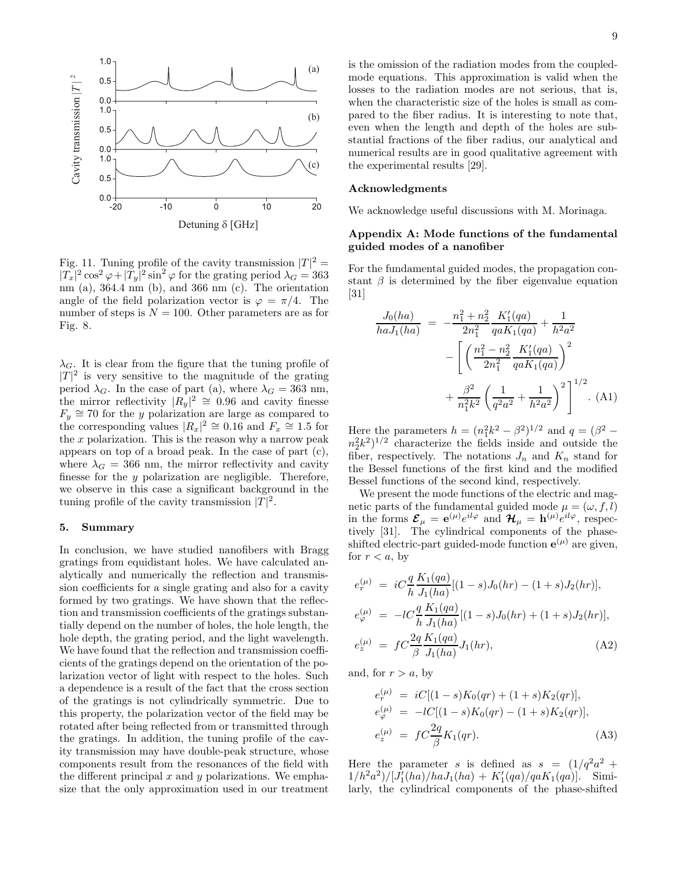

Fig. 11. Tuning profile of the cavity transmission  $|T|^2 =$  $|T_x|^2 \cos^2 \varphi + |T_y|^2 \sin^2 \varphi$  for the grating period  $\lambda_G = 363$ nm (a),  $364.4 \text{ nm}$  (b), and  $366 \text{ nm}$  (c). The orientation angle of the field polarization vector is  $\varphi = \pi/4$ . The number of steps is  $N = 100$ . Other parameters are as for Fig. 8.

 $\lambda_G$ . It is clear from the figure that the tuning profile of  $|T|^2$  is very sensitive to the magnitude of the grating period  $\lambda_G$ . In the case of part (a), where  $\lambda_G = 363$  nm, the mirror reflectivity  $|R_y|^2 \approx 0.96$  and cavity finesse  $F_y \cong 70$  for the y polarization are large as compared to the corresponding values  $|R_x|^2 \cong 0.16$  and  $F_x \cong 1.5$  for the  $x$  polarization. This is the reason why a narrow peak appears on top of a broad peak. In the case of part (c), where  $\lambda_G = 366$  nm, the mirror reflectivity and cavity finesse for the y polarization are negligible. Therefore, we observe in this case a significant background in the tuning profile of the cavity transmission  $|T|^2$ .

### 5. Summary

In conclusion, we have studied nanofibers with Bragg gratings from equidistant holes. We have calculated analytically and numerically the reflection and transmission coefficients for a single grating and also for a cavity formed by two gratings. We have shown that the reflection and transmission coefficients of the gratings substantially depend on the number of holes, the hole length, the hole depth, the grating period, and the light wavelength. We have found that the reflection and transmission coefficients of the gratings depend on the orientation of the polarization vector of light with respect to the holes. Such a dependence is a result of the fact that the cross section of the gratings is not cylindrically symmetric. Due to this property, the polarization vector of the field may be rotated after being reflected from or transmitted through the gratings. In addition, the tuning profile of the cavity transmission may have double-peak structure, whose components result from the resonances of the field with the different principal  $x$  and  $y$  polarizations. We emphasize that the only approximation used in our treatment

is the omission of the radiation modes from the coupledmode equations. This approximation is valid when the losses to the radiation modes are not serious, that is, when the characteristic size of the holes is small as compared to the fiber radius. It is interesting to note that,

even when the length and depth of the holes are substantial fractions of the fiber radius, our analytical and numerical results are in good qualitative agreement with the experimental results [29].

#### Acknowledgments

We acknowledge useful discussions with M. Morinaga.

# Appendix A: Mode functions of the fundamental guided modes of a nanofiber

For the fundamental guided modes, the propagation constant  $\beta$  is determined by the fiber eigenvalue equation [31]

$$
\frac{J_0(ha)}{haJ_1(ha)} = -\frac{n_1^2 + n_2^2}{2n_1^2} \frac{K_1'(qa)}{qaK_1(qa)} + \frac{1}{h^2a^2}
$$

$$
-\left[\left(\frac{n_1^2 - n_2^2}{2n_1^2} \frac{K_1'(qa)}{qaK_1(qa)}\right)^2 + \frac{\beta^2}{n_1^2k^2} \left(\frac{1}{q^2a^2} + \frac{1}{h^2a^2}\right)^2\right]^{1/2}.
$$
(A1)

Here the parameters  $h = (n_1^2 k^2 - \beta^2)^{1/2}$  and  $q = (\beta^2 - \beta^2)^{1/2}$  $(n_2^2 k^2)^{1/2}$  characterize the fields inside and outside the fiber, respectively. The notations  $J_n$  and  $K_n$  stand for the Bessel functions of the first kind and the modified Bessel functions of the second kind, respectively.

We present the mode functions of the electric and magnetic parts of the fundamental guided mode  $\mu = (\omega, f, l)$ in the forms  $\mathcal{E}_{\mu} = e^{(\mu)} e^{il\varphi}$  and  $\mathcal{H}_{\mu} = h^{(\mu)} e^{il\varphi}$ , respectively [31]. The cylindrical components of the phaseshifted electric-part guided-mode function  $e^{(\mu)}$  are given, for  $r < a$ , by

$$
e_r^{(\mu)} = iC \frac{q}{h} \frac{K_1(qa)}{J_1(ha)} [(1-s)J_0(hr) - (1+s)J_2(hr)],
$$
  
\n
$$
e_{\varphi}^{(\mu)} = -lC \frac{q}{h} \frac{K_1(qa)}{J_1(ha)} [(1-s)J_0(hr) + (1+s)J_2(hr)],
$$
  
\n
$$
e_z^{(\mu)} = fC \frac{2q}{\beta} \frac{K_1(qa)}{J_1(ha)} J_1(hr),
$$
\n(A2)

and, for  $r > a$ , by

$$
e_r^{(\mu)} = iC[(1-s)K_0(qr) + (1+s)K_2(qr)],
$$
  
\n
$$
e_{\varphi}^{(\mu)} = -lC[(1-s)K_0(qr) - (1+s)K_2(qr)],
$$
  
\n
$$
e_z^{(\mu)} = fC\frac{2q}{\beta}K_1(qr).
$$
\n(A3)

Here the parameter s is defined as  $s = (1/q^2a^2 +$  $1/h^2a^2)/[\dot{J}_1'(ha)/haJ_1(ha) + K_1'(qa)/qaK_1(qa)]$ . Similarly, the cylindrical components of the phase-shifted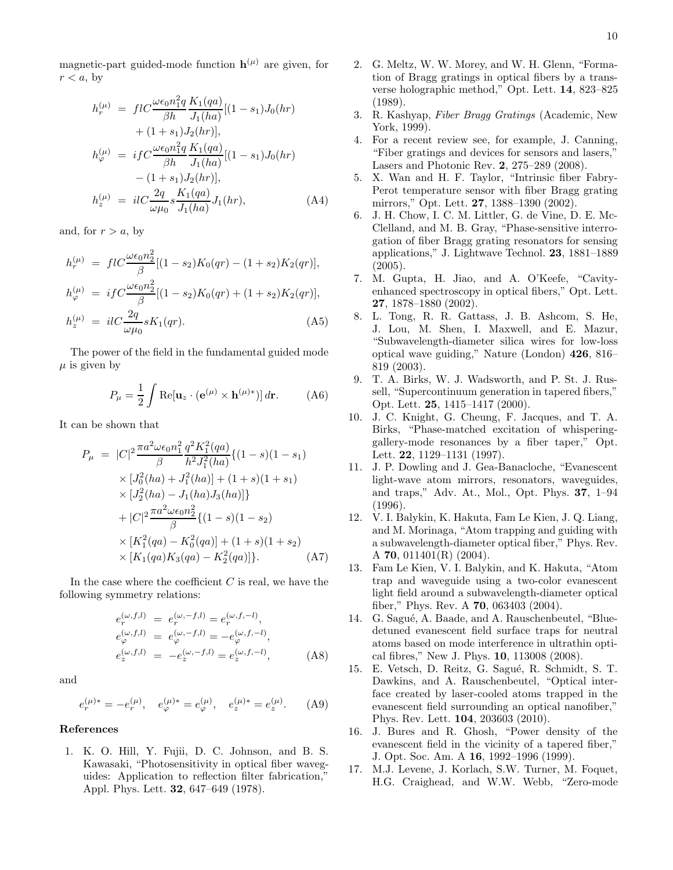magnetic-part guided-mode function  $h^{(\mu)}$  are given, for  $r < a$ , by

$$
h_r^{(\mu)} = flC \frac{\omega \epsilon_0 n_1^2 q}{\beta h} \frac{K_1(qa)}{J_1(ha)} [(1 - s_1) J_0(hr) + (1 + s_1) J_2(hr)],
$$
  

$$
h_{\varphi}^{(\mu)} = i f C \frac{\omega \epsilon_0 n_1^2 q}{\beta h} \frac{K_1(qa)}{J_1(ha)} [(1 - s_1) J_0(hr) - (1 + s_1) J_2(hr)],
$$
  

$$
h_z^{(\mu)} = il C \frac{2q}{\omega \mu_0} s \frac{K_1(qa)}{J_1(ha)} J_1(hr),
$$
 (A4)

and, for  $r > a$ , by

$$
h_r^{(\mu)} = f l C \frac{\omega \epsilon_0 n_2^2}{\beta} [(1 - s_2) K_0(qr) - (1 + s_2) K_2(qr)],
$$
  
\n
$$
h_{\varphi}^{(\mu)} = i f C \frac{\omega \epsilon_0 n_2^2}{\beta} [(1 - s_2) K_0(qr) + (1 + s_2) K_2(qr)],
$$
  
\n
$$
h_z^{(\mu)} = i l C \frac{2q}{\omega \mu_0} s K_1(qr).
$$
\n(A5)

The power of the field in the fundamental guided mode  $\mu$  is given by

$$
P_{\mu} = \frac{1}{2} \int \text{Re}[\mathbf{u}_z \cdot (\mathbf{e}^{(\mu)} \times \mathbf{h}^{(\mu)*})] d\mathbf{r}.
$$
 (A6)

It can be shown that

$$
P_{\mu} = |C|^2 \frac{\pi a^2 \omega \epsilon_0 n_1^2}{\beta} \frac{q^2 K_1^2(qa)}{h^2 J_1^2(ha)} \{ (1-s)(1-s_1) \times [J_0^2(ha) + J_1^2(ha)] + (1+s)(1+s_1) \times [J_2^2(ha) - J_1(ha)J_3(ha)] \} + |C|^2 \frac{\pi a^2 \omega \epsilon_0 n_2^2}{\beta} \{ (1-s)(1-s_2) \times [K_1^2(qa) - K_0^2(qa)] + (1+s)(1+s_2) \times [K_1(qa)K_3(qa) - K_2^2(qa)] \}.
$$
 (A7)

In the case where the coefficient  $C$  is real, we have the following symmetry relations:

$$
e_r^{(\omega, f, l)} = e_r^{(\omega, -f, l)} = e_r^{(\omega, f, -l)},
$$
  
\n
$$
e_\varphi^{(\omega, f, l)} = e_\varphi^{(\omega, -f, l)} = -e_\varphi^{(\omega, f, -l)},
$$
  
\n
$$
e_z^{(\omega, f, l)} = -e_z^{(\omega, -f, l)} = e_z^{(\omega, f, -l)},
$$
\n(A8)

and

$$
e_r^{(\mu)*} = -e_r^{(\mu)}, \quad e_\varphi^{(\mu)*} = e_\varphi^{(\mu)}, \quad e_z^{(\mu)*} = e_z^{(\mu)}.
$$
 (A9)

#### References

1. K. O. Hill, Y. Fujii, D. C. Johnson, and B. S. Kawasaki, "Photosensitivity in optical fiber waveguides: Application to reflection filter fabrication," Appl. Phys. Lett. 32, 647–649 (1978).

- 2. G. Meltz, W. W. Morey, and W. H. Glenn, "Formation of Bragg gratings in optical fibers by a transverse holographic method," Opt. Lett. 14, 823–825 (1989).
- 3. R. Kashyap, *Fiber Bragg Gratings* (Academic, New York, 1999).
- 4. For a recent review see, for example, J. Canning, "Fiber gratings and devices for sensors and lasers," Lasers and Photonic Rev. 2, 275–289 (2008).
- 5. X. Wan and H. F. Taylor, "Intrinsic fiber Fabry-Perot temperature sensor with fiber Bragg grating mirrors," Opt. Lett. 27, 1388–1390 (2002).
- 6. J. H. Chow, I. C. M. Littler, G. de Vine, D. E. Mc-Clelland, and M. B. Gray, "Phase-sensitive interrogation of fiber Bragg grating resonators for sensing applications," J. Lightwave Technol. 23, 1881–1889  $(2005).$
- 7. M. Gupta, H. Jiao, and A. O'Keefe, "Cavityenhanced spectroscopy in optical fibers," Opt. Lett. 27, 1878–1880 (2002).
- 8. L. Tong, R. R. Gattass, J. B. Ashcom, S. He, J. Lou, M. Shen, I. Maxwell, and E. Mazur, "Subwavelength-diameter silica wires for low-loss optical wave guiding," Nature (London) 426, 816– 819 (2003).
- 9. T. A. Birks, W. J. Wadsworth, and P. St. J. Russell, "Supercontinuum generation in tapered fibers," Opt. Lett. 25, 1415–1417 (2000).
- 10. J. C. Knight, G. Cheung, F. Jacques, and T. A. Birks, "Phase-matched excitation of whisperinggallery-mode resonances by a fiber taper," Opt. Lett. 22, 1129–1131 (1997).
- 11. J. P. Dowling and J. Gea-Banacloche, "Evanescent light-wave atom mirrors, resonators, waveguides, and traps," Adv. At., Mol., Opt. Phys. 37, 1–94 (1996).
- 12. V. I. Balykin, K. Hakuta, Fam Le Kien, J. Q. Liang, and M. Morinaga, "Atom trapping and guiding with a subwavelength-diameter optical fiber," Phys. Rev. A 70, 011401(R) (2004).
- 13. Fam Le Kien, V. I. Balykin, and K. Hakuta, "Atom trap and waveguide using a two-color evanescent light field around a subwavelength-diameter optical fiber," Phys. Rev. A 70, 063403 (2004).
- 14. G. Sagué, A. Baade, and A. Rauschenbeutel, "Bluedetuned evanescent field surface traps for neutral atoms based on mode interference in ultrathin optical fibres," New J. Phys. 10, 113008 (2008).
- 15. E. Vetsch, D. Reitz, G. Sagué, R. Schmidt, S. T. Dawkins, and A. Rauschenbeutel, "Optical interface created by laser-cooled atoms trapped in the evanescent field surrounding an optical nanofiber," Phys. Rev. Lett. 104, 203603 (2010).
- 16. J. Bures and R. Ghosh, "Power density of the evanescent field in the vicinity of a tapered fiber," J. Opt. Soc. Am. A 16, 1992–1996 (1999).
- 17. M.J. Levene, J. Korlach, S.W. Turner, M. Foquet, H.G. Craighead, and W.W. Webb, "Zero-mode